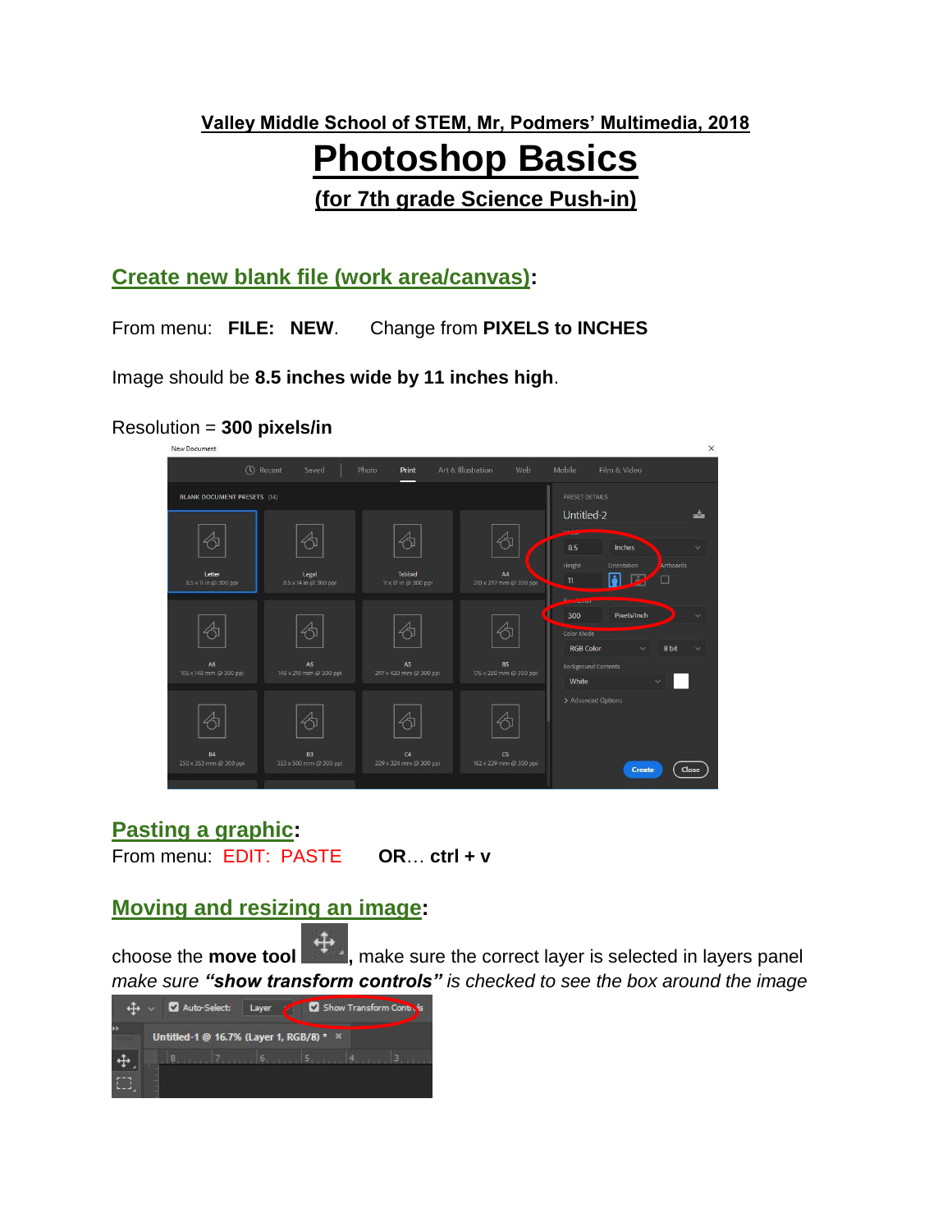# **Valley Middle School of STEM, Mr, Podmers' Multimedia, 2018 Photoshop Basics**

**(for 7th grade Science Push-in)**

**Create new blank file (work area/canvas):**

From menu: **FILE: NEW**. Change from **PIXELS to INCHES**

Image should be **8.5 inches wide by 11 inches high**.

#### Resolution = **300 pixels/in**



#### **Pasting a graphic:**

From menu: EDIT: PASTE **OR**… **ctrl + v**

#### **Moving and resizing an image:**

choose the **move tool**  $\left(\frac{4}{3}\right)$ , make sure the correct layer is selected in layers panel *make sure "show transform controls" is checked to see the box around the image*

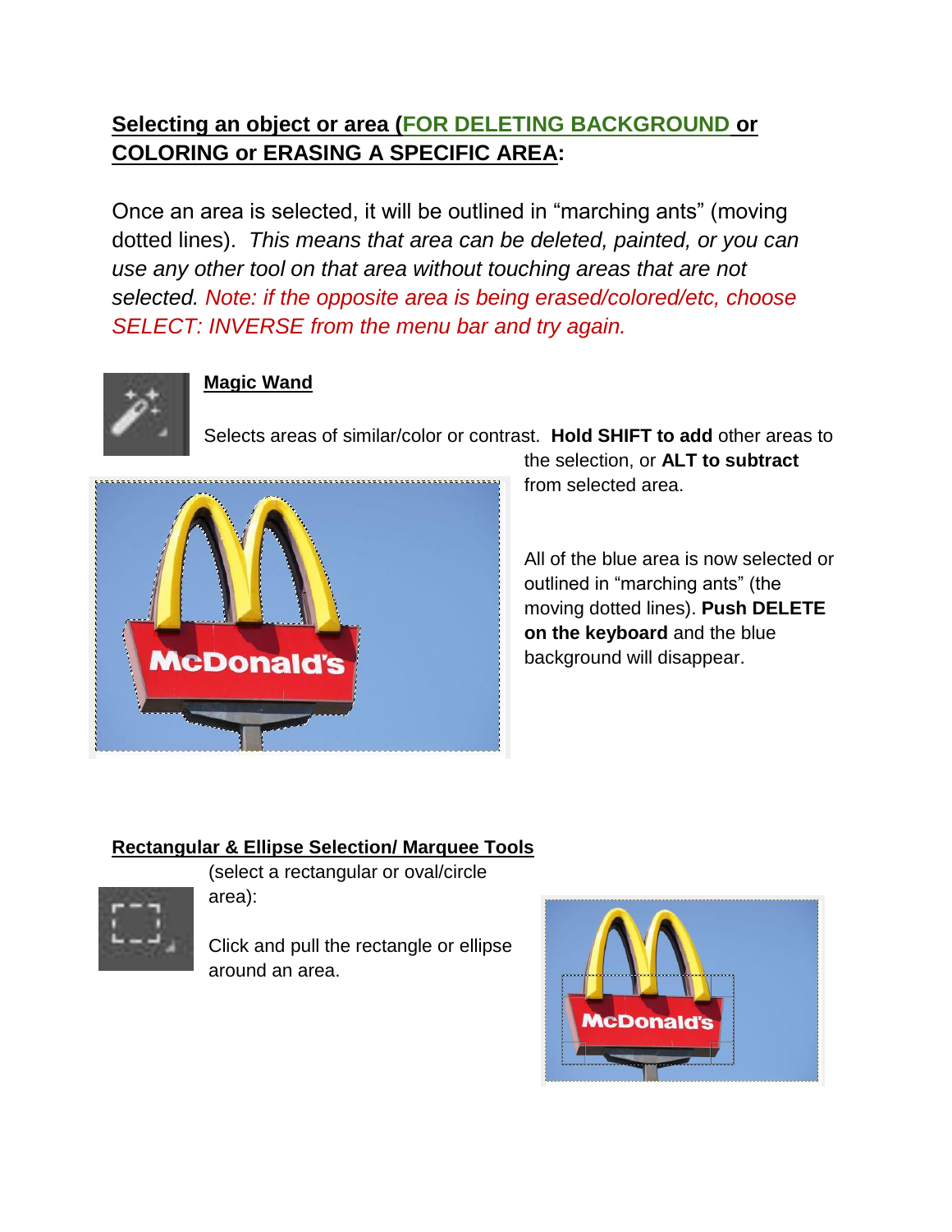## **Selecting an object or area (FOR DELETING BACKGROUND or COLORING or ERASING A SPECIFIC AREA:**

Once an area is selected, it will be outlined in "marching ants" (moving dotted lines). *This means that area can be deleted, painted, or you can use any other tool on that area without touching areas that are not selected. Note: if the opposite area is being erased/colored/etc, choose SELECT: INVERSE from the menu bar and try again.*



#### **Magic Wand**

Selects areas of similar/color or contrast. **Hold SHIFT to add** other areas to



the selection, or **ALT to subtract**  from selected area.

All of the blue area is now selected or outlined in "marching ants" (the moving dotted lines). **Push DELETE on the keyboard** and the blue background will disappear.

#### **Rectangular & Ellipse Selection/ Marquee Tools**

(select a rectangular or oval/circle



area):

Click and pull the rectangle or ellipse around an area.

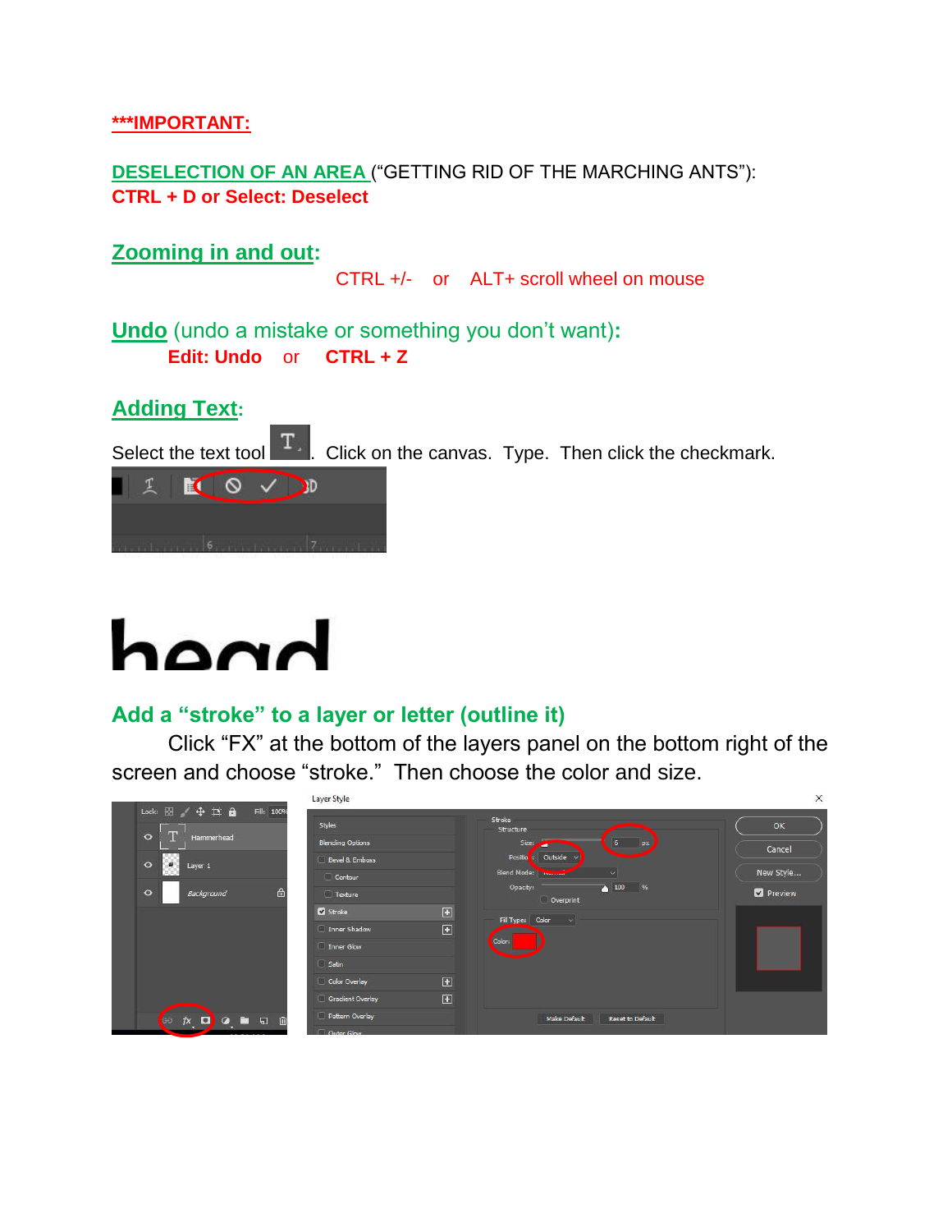**\*\*\*IMPORTANT:**

**DESELECTION OF AN AREA** ("GETTING RID OF THE MARCHING ANTS"): **CTRL + D or Select: Deselect**

#### **Zooming in and out:**

CTRL +/- or ALT+ scroll wheel on mouse

**Undo** (undo a mistake or something you don't want)**: Edit: Undo** or **CTRL + Z**

#### **Adding Text:**

Select the text tool  $\begin{bmatrix} T \end{bmatrix}$ . Click on the canvas. Type. Then click the checkmark.



# hond

#### **Add a "stroke" to a layer or letter (outline it)**

Click "FX" at the bottom of the layers panel on the bottom right of the screen and choose "stroke." Then choose the color and size.

|                                                                  | Layer Style                          |              |                                                                                                                    | $\times$            |
|------------------------------------------------------------------|--------------------------------------|--------------|--------------------------------------------------------------------------------------------------------------------|---------------------|
| Fill: 100%<br>Lock: 22<br>$+$ $+$ $+$<br>Hammerhead<br>$\bullet$ | Styles<br><b>Blending Options</b>    |              | Stroke<br>Structure<br>6<br>px,<br>Size:                                                                           | OK                  |
| $\bullet$<br>Layer 1<br>$\overline{\phantom{a}}$                 | <b>Bevel &amp; Emboss</b><br>Contour |              | Positio<br>Outside $\vee$<br>Blend Mode:<br>$\checkmark$                                                           | Cancel<br>New Style |
| ⊕<br>Background<br>$\bullet$                                     | Texture<br>Stroke                    | $\boxplus$   | $\triangle$ 100<br>96<br>Opacity:<br>Overprint<br>Fill Type: Color<br>$\left\vert \mathbf{v}\right\vert$<br>Color: | Preview             |
|                                                                  | Inner Shadow<br>Inner Glow           | $\mathbf{F}$ |                                                                                                                    |                     |
|                                                                  | G Satin<br>Color Overlay             | $\mathbf{F}$ |                                                                                                                    |                     |
| $f_{\mathsf{X}}$<br>60<br>n<br>15 前<br>$\bullet$<br>$\Omega$     | Gradient Overlay<br>Pattern Overlay  | $\mathbf{F}$ | Reset to Default<br><b>Make Default</b>                                                                            |                     |
|                                                                  | Outer Glow                           |              |                                                                                                                    |                     |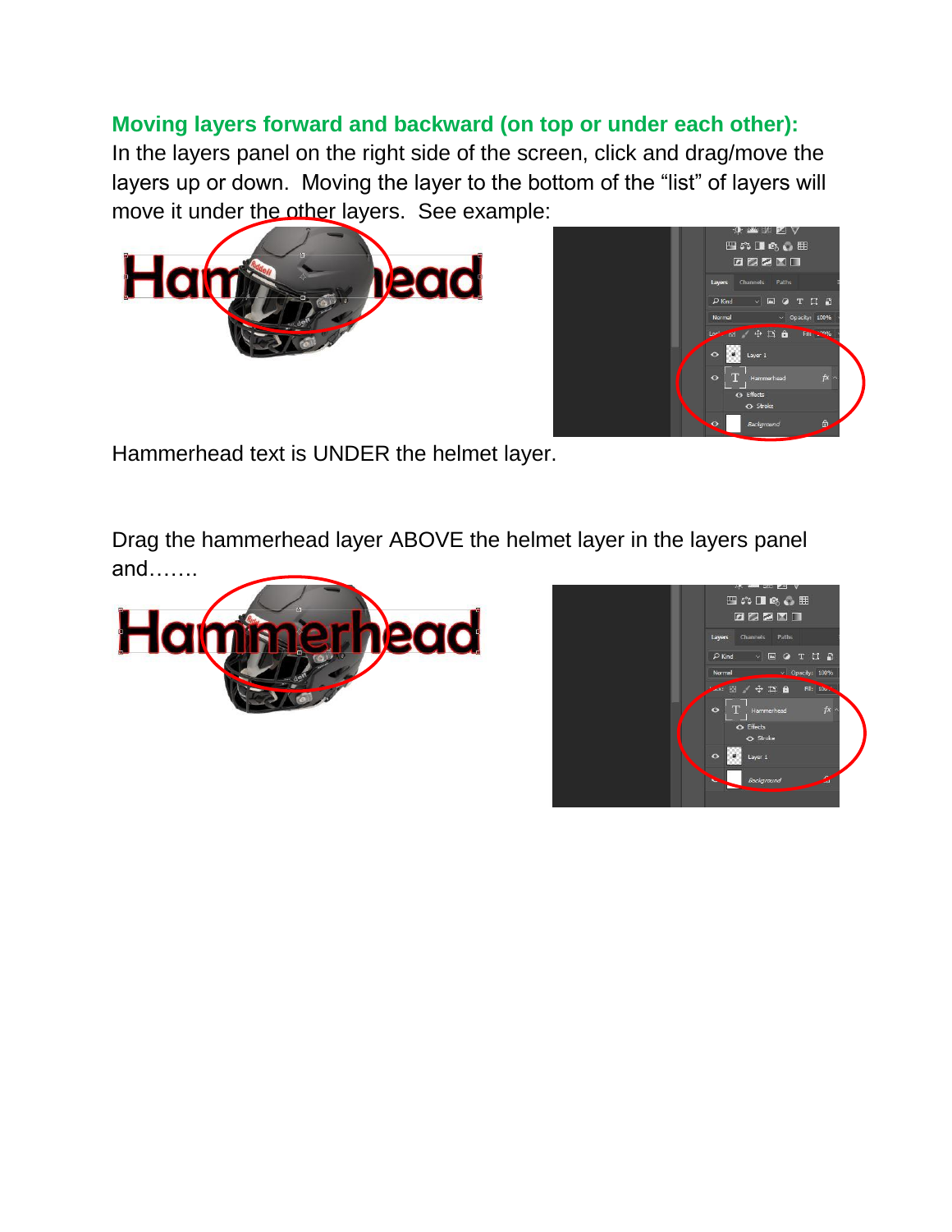#### **Moving layers forward and backward (on top or under each other):**

In the layers panel on the right side of the screen, click and drag/move the layers up or down. Moving the layer to the bottom of the "list" of layers will move it under the other layers. See example:





Hammerhead text is UNDER the helmet layer.

Drag the hammerhead layer ABOVE the helmet layer in the layers panel and…….



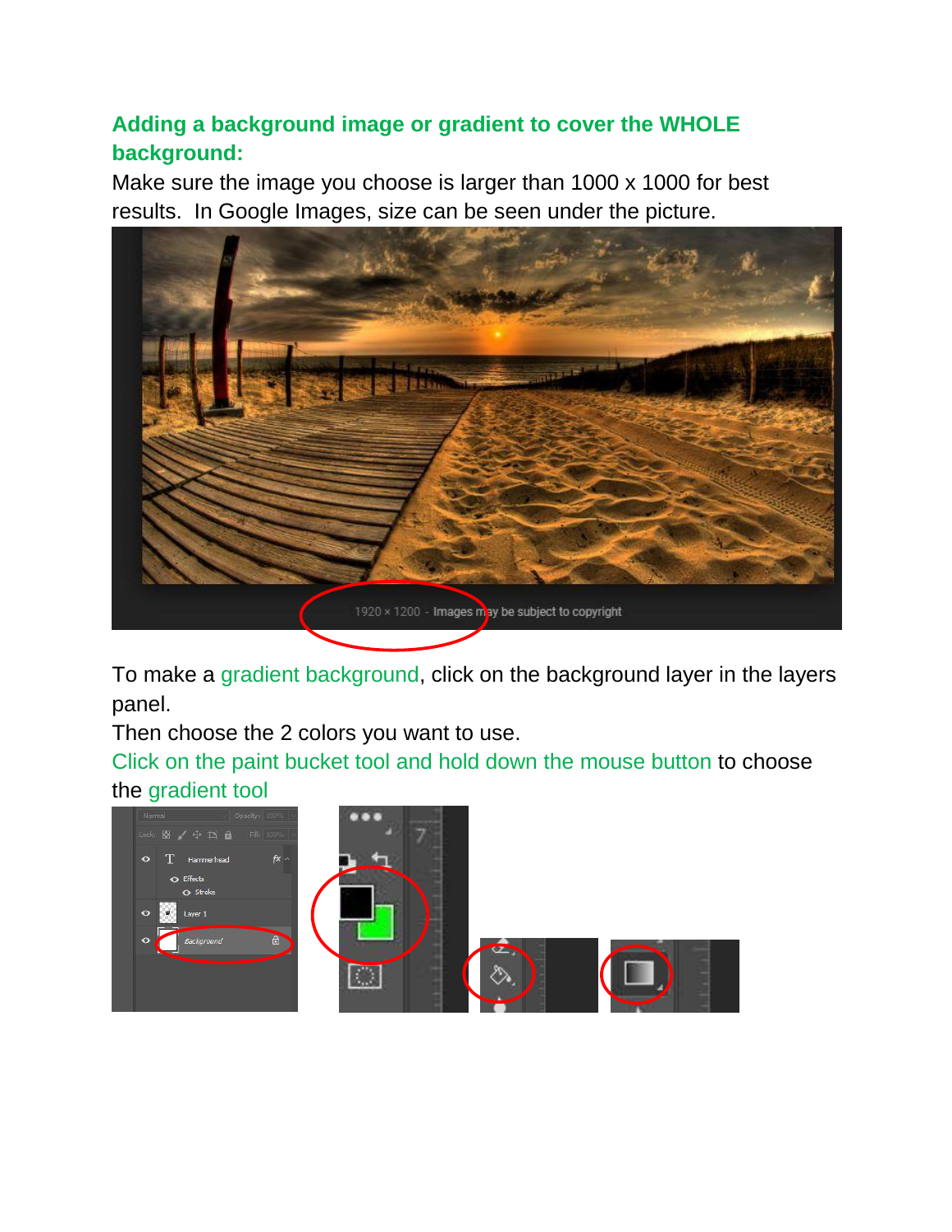### **Adding a background image or gradient to cover the WHOLE background:**

Make sure the image you choose is larger than 1000 x 1000 for best results. In Google Images, size can be seen under the picture.



To make a gradient background, click on the background layer in the layers panel.

Then choose the 2 colors you want to use.

Click on the paint bucket tool and hold down the mouse button to choose the gradient tool